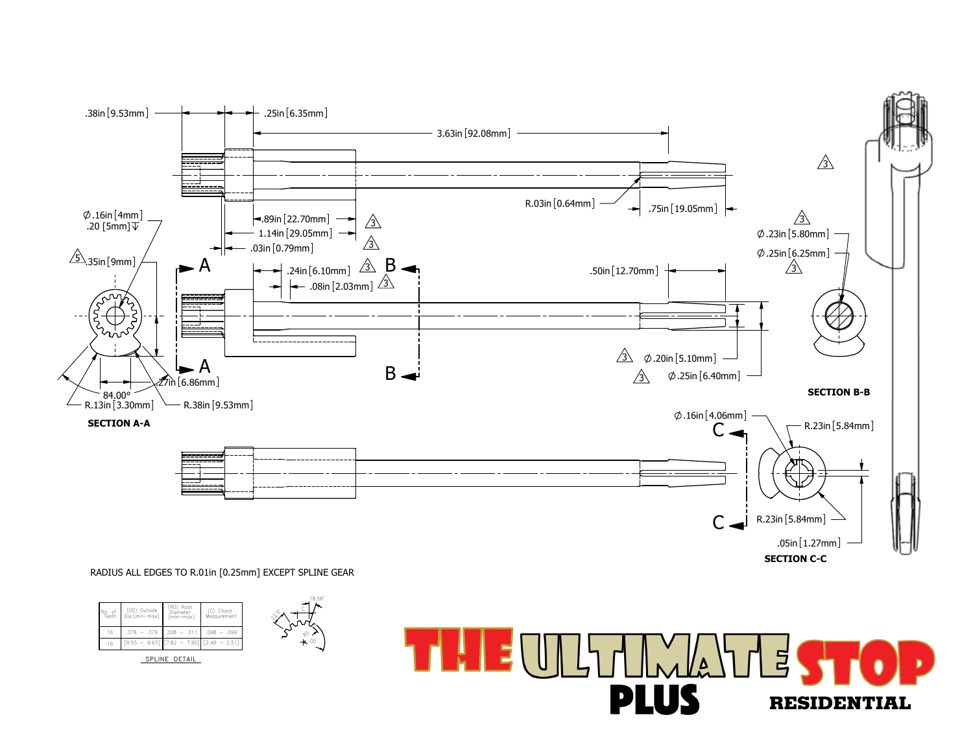

RADIUS ALL EDGES TO R.01in [0.25mm] EXCEPT SPLINE GEAR

 $.098 - .099$ 

18.56°

RD OD

 $\hat{\mathcal{C}}$ 

16 [7.82 - 7.90] [2.49 - 2.51]

SPLINE DETAIL

 $.376 - .379$  .308 - .31

(OD) Outside | Diameter | (C) Chord<br>Dia.(min—max) | (min—max) | Measurement

(RD) Root<br>Diameter<br>(min-max)

No. of (OD) Outside (RD) Root<br>Teeth Dia.(min-max) (min-max)

 $9.55 - 9.63$ 

16

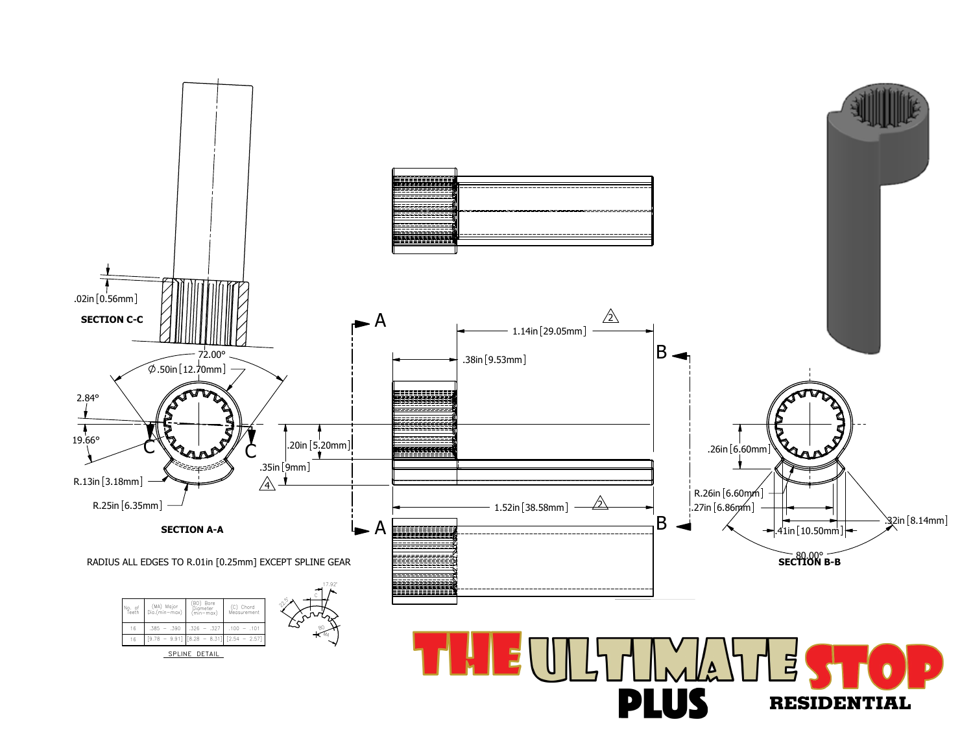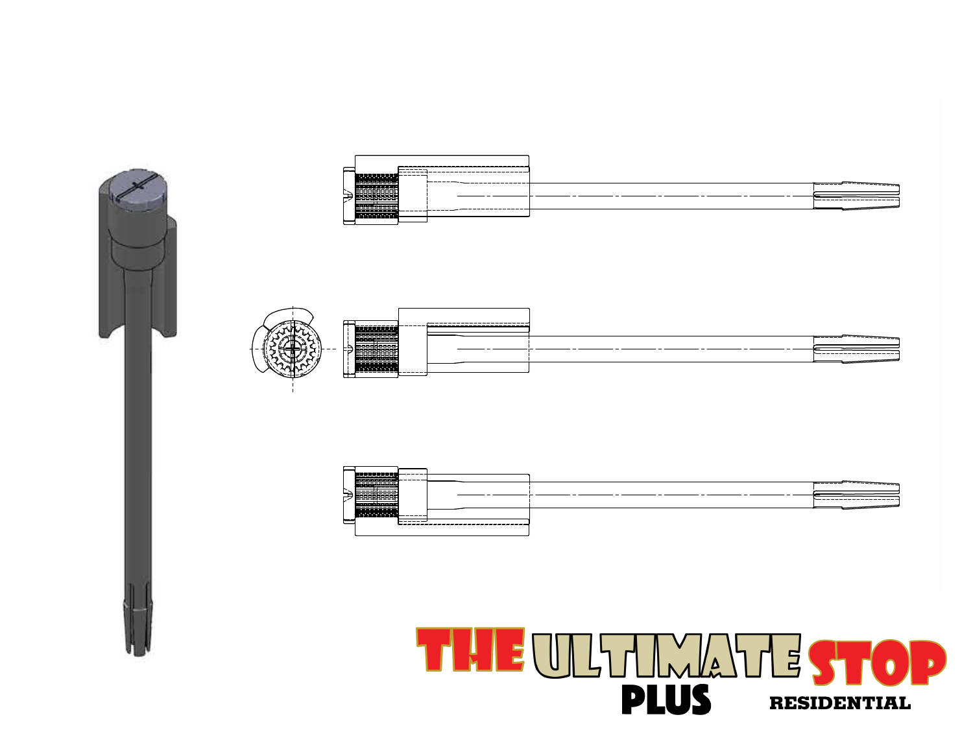